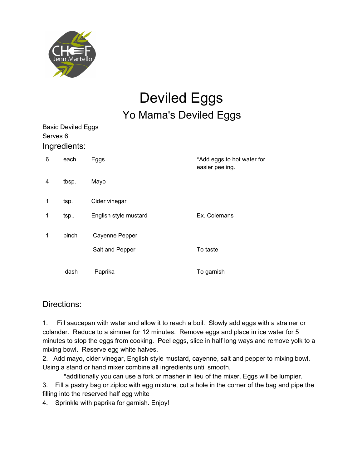

## Deviled Eggs Yo Mama's Deviled Eggs

| Serves 6 | <b>Basic Deviled Eggs</b> |                       |                                               |
|----------|---------------------------|-----------------------|-----------------------------------------------|
|          | Ingredients:              |                       |                                               |
| 6        | each                      | Eggs                  | *Add eggs to hot water for<br>easier peeling. |
| 4        | tbsp.                     | Mayo                  |                                               |
| 1        | tsp.                      | Cider vinegar         |                                               |
| 1        | tsp                       | English style mustard | Ex. Colemans                                  |
| 1        | pinch                     | Cayenne Pepper        |                                               |
|          |                           | Salt and Pepper       | To taste                                      |
|          | dash                      | Paprika               | To garnish                                    |

#### Directions:

1. Fill saucepan with water and allow it to reach a boil. Slowly add eggs with a strainer or colander. Reduce to a simmer for 12 minutes. Remove eggs and place in ice water for 5 minutes to stop the eggs from cooking. Peel eggs, slice in half long ways and remove yolk to a mixing bowl. Reserve egg white halves.

2. Add mayo, cider vinegar, English style mustard, cayenne, salt and pepper to mixing bowl. Using a stand or hand mixer combine all ingredients until smooth.

\*additionally you can use a fork or masher in lieu of the mixer. Eggs will be lumpier.

3. Fill a pastry bag or ziploc with egg mixture, cut a hole in the corner of the bag and pipe the filling into the reserved half egg white

4. Sprinkle with paprika for garnish. Enjoy!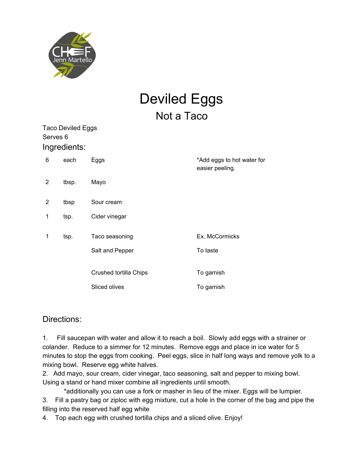

# Deviled Eggs Not a Taco

| Serves 6 | <b>Taco Deviled Eggs</b> |                        |                                               |
|----------|--------------------------|------------------------|-----------------------------------------------|
|          | Ingredients:             |                        |                                               |
| 6        | each                     | Eggs                   | *Add eggs to hot water for<br>easier peeling. |
| 2        | tbsp.                    | Mayo                   |                                               |
| 2        | tbsp                     | Sour cream             |                                               |
| 1        | tsp.                     | Cider vinegar          |                                               |
| 1        | tsp.                     | Taco seasoning         | Ex. McCormicks                                |
|          |                          | Salt and Pepper        | To taste                                      |
|          |                          | Crushed tortilla Chips | To garnish                                    |
|          |                          | Sliced olives          | To garnish                                    |

#### Directions:

1. Fill saucepan with water and allow it to reach a boil. Slowly add eggs with a strainer or colander. Reduce to a simmer for 12 minutes. Remove eggs and place in ice water for 5 minutes to stop the eggs from cooking. Peel eggs, slice in half long ways and remove yolk to a mixing bowl. Reserve egg white halves.

2. Add mayo, sour cream, cider vinegar, taco seasoning, salt and pepper to mixing bowl. Using a stand or hand mixer combine all ingredients until smooth.

\*additionally you can use a fork or masher in lieu of the mixer. Eggs will be lumpier. 3. Fill a pastry bag or ziploc with egg mixture, cut a hole in the corner of the bag and pipe the filling into the reserved half egg white

4. Top each egg with crushed tortilla chips and a sliced olive. Enjoy!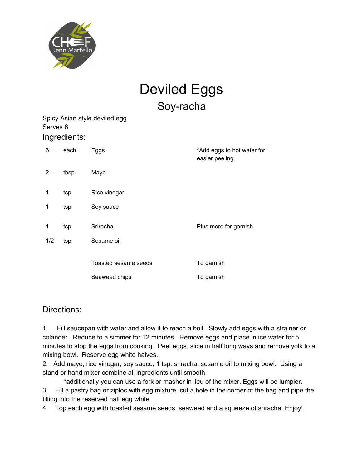

## Deviled Eggs Soy-racha

Spicy Asian style deviled egg Serves 6 Ingredients:

| 6              | each  | Eggs                 | *Add eggs to hot water for<br>easier peeling. |
|----------------|-------|----------------------|-----------------------------------------------|
| $\overline{2}$ | tbsp. | Mayo                 |                                               |
| 1              | tsp.  | Rice vinegar         |                                               |
| 1              | tsp.  | Soy sauce            |                                               |
| 1              | tsp.  | Sriracha             | Plus more for garnish                         |
| 1/2            | tsp.  | Sesame oil           |                                               |
|                |       |                      |                                               |
|                |       | Toasted sesame seeds | To garnish                                    |
|                |       | Seaweed chips        | To garnish                                    |
|                |       |                      |                                               |

#### Directions:

1. Fill saucepan with water and allow it to reach a boil. Slowly add eggs with a strainer or colander. Reduce to a simmer for 12 minutes. Remove eggs and place in ice water for 5 minutes to stop the eggs from cooking. Peel eggs, slice in half long ways and remove yolk to a mixing bowl. Reserve egg white halves.

2. Add mayo, rice vinegar, soy sauce, 1 tsp. sriracha, sesame oil to mixing bowl. Using a stand or hand mixer combine all ingredients until smooth.

\*additionally you can use a fork or masher in lieu of the mixer. Eggs will be lumpier. 3. Fill a pastry bag or ziploc with egg mixture, cut a hole in the corner of the bag and pipe the filling into the reserved half egg white

4. Top each egg with toasted sesame seeds, seaweed and a squeeze of sriracha. Enjoy!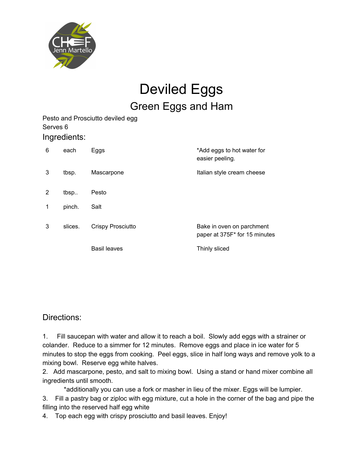

### Deviled Eggs Green Eggs and Ham

Pesto and Prosciutto deviled egg Serves 6 Ingredients:

| 6 | each    | Eggs                     | *Add eggs to hot water for<br>easier peeling.              |
|---|---------|--------------------------|------------------------------------------------------------|
| 3 | tbsp.   | Mascarpone               | Italian style cream cheese                                 |
| 2 | tbsp    | Pesto                    |                                                            |
| 1 | pinch.  | Salt                     |                                                            |
| 3 | slices. | <b>Crispy Prosciutto</b> | Bake in oven on parchment<br>paper at 375F* for 15 minutes |
|   |         | Basil leaves             | Thinly sliced                                              |

Directions:

1. Fill saucepan with water and allow it to reach a boil. Slowly add eggs with a strainer or colander. Reduce to a simmer for 12 minutes. Remove eggs and place in ice water for 5 minutes to stop the eggs from cooking. Peel eggs, slice in half long ways and remove yolk to a mixing bowl. Reserve egg white halves.

2. Add mascarpone, pesto, and salt to mixing bowl. Using a stand or hand mixer combine all ingredients until smooth.

\*additionally you can use a fork or masher in lieu of the mixer. Eggs will be lumpier. 3. Fill a pastry bag or ziploc with egg mixture, cut a hole in the corner of the bag and pipe the filling into the reserved half egg white

4. Top each egg with crispy prosciutto and basil leaves. Enjoy!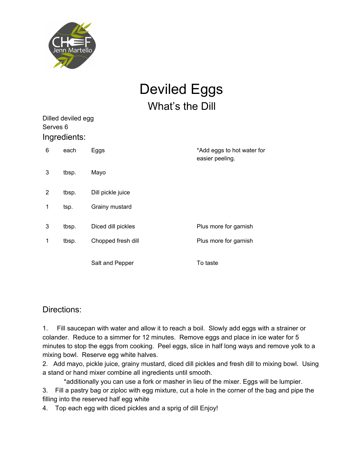

## Deviled Eggs What's the Dill

| Ingredients:<br>Eggs | *Add eggs to hot water for<br>easier peeling. |
|----------------------|-----------------------------------------------|
|                      |                                               |
|                      |                                               |
| Mayo                 |                                               |
| Dill pickle juice    |                                               |
| Grainy mustard       |                                               |
| Diced dill pickles   | Plus more for garnish                         |
| Chopped fresh dill   | Plus more for garnish                         |
| Salt and Pepper      | To taste                                      |
|                      |                                               |

#### Directions:

1. Fill saucepan with water and allow it to reach a boil. Slowly add eggs with a strainer or colander. Reduce to a simmer for 12 minutes. Remove eggs and place in ice water for 5 minutes to stop the eggs from cooking. Peel eggs, slice in half long ways and remove yolk to a mixing bowl. Reserve egg white halves.

2. Add mayo, pickle juice, grainy mustard, diced dill pickles and fresh dill to mixing bowl. Using a stand or hand mixer combine all ingredients until smooth.

\*additionally you can use a fork or masher in lieu of the mixer. Eggs will be lumpier. 3. Fill a pastry bag or ziploc with egg mixture, cut a hole in the corner of the bag and pipe the filling into the reserved half egg white

4. Top each egg with diced pickles and a sprig of dill Enjoy!